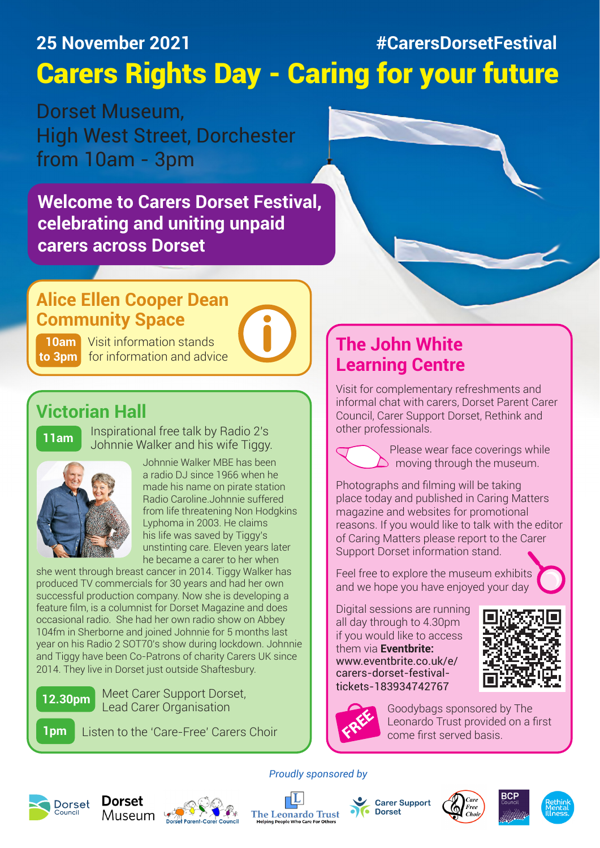## **25 November 2021 #CarersDorsetFestival** Carers Rights Day - Caring for your future

Dorset Museum, High West Street, Dorchester from 10am - 3pm

**Welcome to Carers Dorset Festival, celebrating and uniting unpaid carers across Dorset**

## **Alice Ellen Cooper Dean Community Space**

**10am** Visit information stands **to 3pm** for information and advice

## **Victorian Hall**

**11am**

Inspirational free talk by Radio 2's Johnnie Walker and his wife Tiggy.



Johnnie Walker MBE has been a radio DJ since 1966 when he made his name on pirate station Radio Caroline.Johnnie suffered from life threatening Non Hodgkins Lyphoma in 2003. He claims his life was saved by Tiggy's unstinting care. Eleven years later he became a carer to her when

she went through breast cancer in 2014. Tiggy Walker has produced TV commercials for 30 years and had her own successful production company. Now she is developing a feature film, is a columnist for Dorset Magazine and does occasional radio. She had her own radio show on Abbey 104fm in Sherborne and joined Johnnie for 5 months last year on his Radio 2 SOT70's show during lockdown. Johnnie and Tiggy have been Co-Patrons of charity Carers UK since 2014. They live in Dorset just outside Shaftesbury.



Meet Carer Support Dorset, Lead Carer Organisation

**1pm** Listen to the 'Care-Free' Carers Choir

## **The John White Learning Centre**

Visit for complementary refreshments and informal chat with carers, Dorset Parent Carer Council, Carer Support Dorset, Rethink and other professionals.

 Please wear face coverings while  $\sum$  moving through the museum.

Photographs and filming will be taking place today and published in Caring Matters magazine and websites for promotional reasons. If you would like to talk with the editor of Caring Matters please report to the Carer Support Dorset information stand.

Feel free to explore the museum exhibits and we hope you have enjoyed your day

Digital sessions are running all day through to 4.30pm if you would like to access them via **Eventbrite:** www.eventbrite.co.uk/e/ carers-dorset-festivaltickets-183934742767





Goodybags sponsored by The Leonardo Trust provided on a first come first served basis.





*Proudly sponsored by*

**The Leonardo Trust**